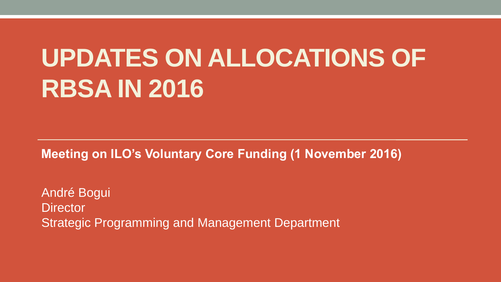# **UPDATES ON ALLOCATIONS OF RBSA IN 2016**

**Meeting on ILO's Voluntary Core Funding (1 November 2016)** 

André Bogui **Director** Strategic Programming and Management Department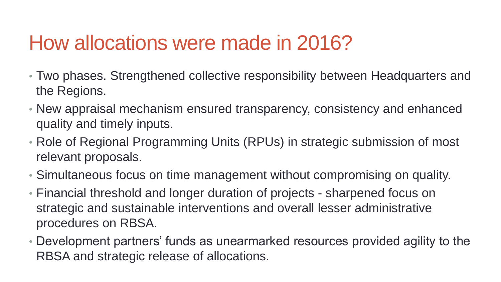## How allocations were made in 2016?

- Two phases. Strengthened collective responsibility between Headquarters and the Regions.
- New appraisal mechanism ensured transparency, consistency and enhanced quality and timely inputs.
- Role of Regional Programming Units (RPUs) in strategic submission of most relevant proposals.
- Simultaneous focus on time management without compromising on quality.
- Financial threshold and longer duration of projects sharpened focus on strategic and sustainable interventions and overall lesser administrative procedures on RBSA.
- Development partners' funds as unearmarked resources provided agility to the RBSA and strategic release of allocations.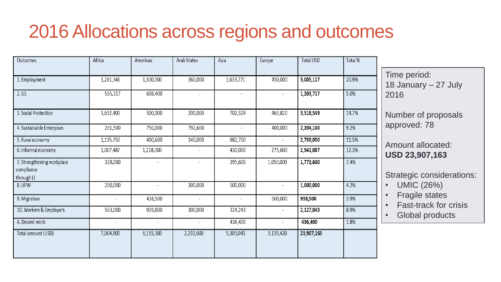#### 2016 Allocations across regions and outcomes

| Outcomes                   | Africa                   | Americas                 | Arab States              | Asia                     | Europe                   | <b>Total USD</b> | Total% |                                                                                                                   |
|----------------------------|--------------------------|--------------------------|--------------------------|--------------------------|--------------------------|------------------|--------|-------------------------------------------------------------------------------------------------------------------|
|                            |                          |                          |                          |                          |                          |                  |        | Time period:                                                                                                      |
| 1. Employment              | 1,261,346                | 1,300,000                | 360,000                  | 1,633,771                | 450,000                  | 5,005,117        | 20.9%  | 18 January - 27 July<br>2016<br>Number of proposals<br>approved: 78<br>Amount allocated:<br><b>USD 23,907,163</b> |
| 2.1LS                      | 595,317                  | 608,400                  |                          | $\overline{\phantom{a}}$ |                          | 1,203,717        | 5.0%   |                                                                                                                   |
| 3. Social Protection       | 1,652,400                | 500,000                  | 200,000                  | 702,329                  | 463,820                  | 3,518,549        | 14.7%  |                                                                                                                   |
| 4. Sustainable Enterpises  | 261,500                  | 750,000                  | 792,600                  | $\overline{\phantom{a}}$ | 400,000                  | 2,204,100        | 9.2%   |                                                                                                                   |
| 5. Rural economy           | 1,135,750                | 400,600                  | 340,000                  | 882,700                  | $\overline{\phantom{a}}$ | 2,759,050        | 11.5%  |                                                                                                                   |
| 6. Informal economy        | 1,007,487                | 1,228,000                | $\overline{\phantom{a}}$ | 430,000                  | 275,600                  | 2,941,087        | 12.3%  |                                                                                                                   |
| 7. Strengthening workplace | 328,000                  |                          |                          | 395,600                  | 1,050,000                | 1,773,600        | 7.4%   |                                                                                                                   |
| compliance<br>through LI   |                          |                          |                          |                          |                          |                  |        | <b>Strategic considerations:</b>                                                                                  |
| 8. UFW                     | 200,000                  | $\overline{\phantom{a}}$ | 300,000                  | 500,000                  | $\overline{\phantom{a}}$ | 1,000,000        | 4.2%   | <b>UMIC (26%)</b><br><b>Fragile states</b><br><b>Fast-track for crisis</b><br>Global products                     |
| 9. Migration               | $\overline{\phantom{a}}$ | 438,500                  | $\overline{\phantom{a}}$ | $\overline{\phantom{a}}$ | 500,000                  | 938,500          | 3.9%   |                                                                                                                   |
| 10. Workers & Employers    | 563,000                  | 939,800                  | 300,000                  | 324,243                  | $\overline{\phantom{a}}$ | 2,127,043        | 8.9%   |                                                                                                                   |
| A. Decent work             | $\overline{\phantom{a}}$ |                          |                          | 436,400                  |                          | 436,400          | 1.8%   |                                                                                                                   |
| Total amount (USD)         | 7,004,800                | 6,165,300                | 2,292,600                | 5,305,043                | 3,139,420                | 23,907,163       |        |                                                                                                                   |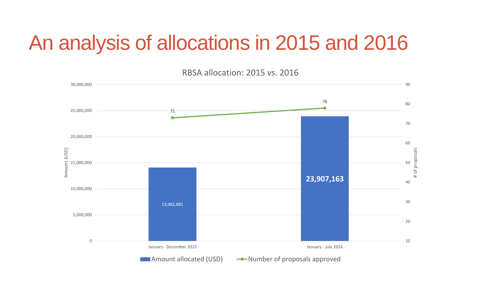### An analysis of allocations in 2015 and 2016